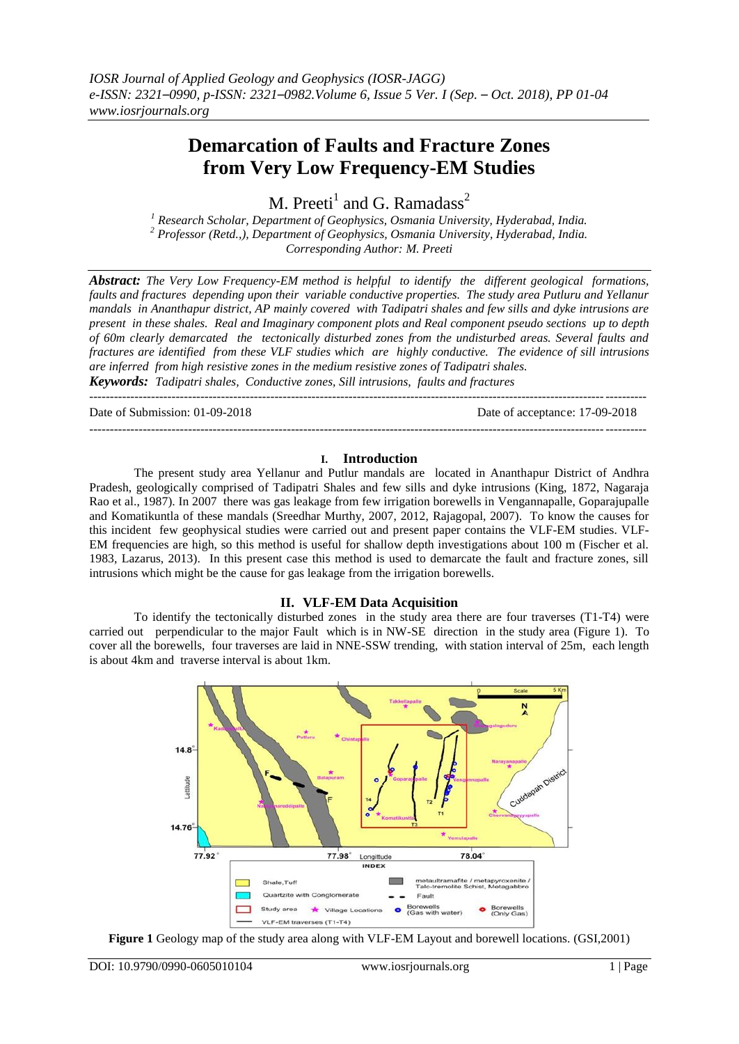# **Demarcation of Faults and Fracture Zones from Very Low Frequency-EM Studies**

M. Preeti $^1$  and G. Ramadass<sup>2</sup>

*<sup>1</sup> Research Scholar, Department of Geophysics, Osmania University, Hyderabad, India. <sup>2</sup> Professor (Retd.,), Department of Geophysics, Osmania University, Hyderabad, India. Corresponding Author: M. Preeti*

*Abstract: The Very Low Frequency-EM method is helpful to identify the different geological formations, faults and fractures depending upon their variable conductive properties. The study area Putluru and Yellanur mandals in Ananthapur district, AP mainly covered with Tadipatri shales and few sills and dyke intrusions are present in these shales. Real and Imaginary component plots and Real component pseudo sections up to depth of 60m clearly demarcated the tectonically disturbed zones from the undisturbed areas. Several faults and fractures are identified from these VLF studies which are highly conductive. The evidence of sill intrusions are inferred from high resistive zones in the medium resistive zones of Tadipatri shales.* 

*Keywords: Tadipatri shales, Conductive zones, Sill intrusions, faults and fractures* ---------------------------------------------------------------------------------------------------------------------------------------

Date of Submission: 01-09-2018 Date of acceptance: 17-09-2018

### **I. Introduction**

---------------------------------------------------------------------------------------------------------------------------------------

The present study area Yellanur and Putlur mandals are located in Ananthapur District of Andhra Pradesh, geologically comprised of Tadipatri Shales and few sills and dyke intrusions (King, 1872, Nagaraja Rao et al., 1987). In 2007 there was gas leakage from few irrigation borewells in Vengannapalle, Goparajupalle and Komatikuntla of these mandals (Sreedhar Murthy, 2007, 2012, Rajagopal, 2007). To know the causes for this incident few geophysical studies were carried out and present paper contains the VLF-EM studies. VLF-EM frequencies are high, so this method is useful for shallow depth investigations about 100 m (Fischer et al. 1983, Lazarus, 2013). In this present case this method is used to demarcate the fault and fracture zones, sill intrusions which might be the cause for gas leakage from the irrigation borewells.

## **II. VLF-EM Data Acquisition**

To identify the tectonically disturbed zones in the study area there are four traverses (T1-T4) were carried out perpendicular to the major Fault which is in NW-SE direction in the study area (Figure 1). To cover all the borewells, four traverses are laid in NNE-SSW trending, with station interval of 25m, each length is about 4km and traverse interval is about 1km.



**Figure 1** Geology map of the study area along with VLF-EM Layout and borewell locations. (GSI,2001)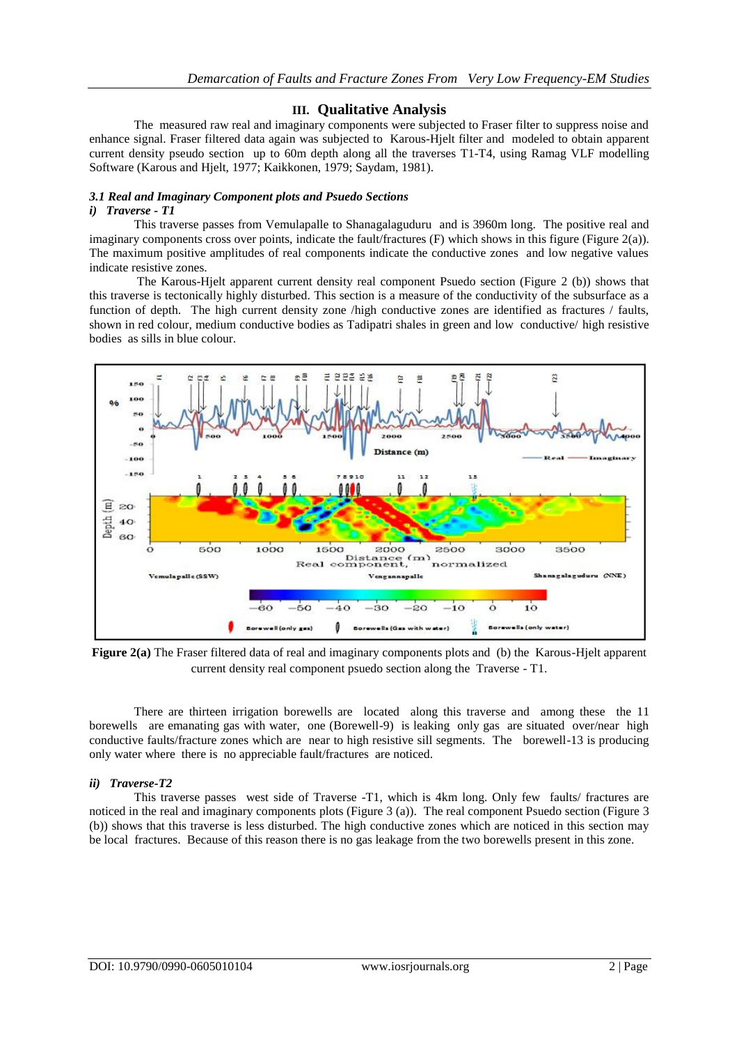## **III. Qualitative Analysis**

The measured raw real and imaginary components were subjected to Fraser filter to suppress noise and enhance signal. Fraser filtered data again was subjected to Karous-Hjelt filter and modeled to obtain apparent current density pseudo section up to 60m depth along all the traverses T1-T4, using Ramag VLF modelling Software (Karous and Hjelt, 1977; Kaikkonen, 1979; Saydam, 1981).

# *3.1 Real and Imaginary Component plots and Psuedo Sections*

#### *i) Traverse - T1*

This traverse passes from Vemulapalle to Shanagalaguduru and is 3960m long. The positive real and imaginary components cross over points, indicate the fault/fractures (F) which shows in this figure (Figure 2(a)). The maximum positive amplitudes of real components indicate the conductive zones and low negative values indicate resistive zones.

The Karous-Hjelt apparent current density real component Psuedo section (Figure 2 (b)) shows that this traverse is tectonically highly disturbed. This section is a measure of the conductivity of the subsurface as a function of depth. The high current density zone /high conductive zones are identified as fractures / faults, shown in red colour, medium conductive bodies as Tadipatri shales in green and low conductive/ high resistive bodies as sills in blue colour.



**Figure 2(a)** The Fraser filtered data of real and imaginary components plots and (b) the Karous-Hjelt apparent current density real component psuedo section along the Traverse - T1.

There are thirteen irrigation borewells are located along this traverse and among these the 11 borewells are emanating gas with water, one (Borewell-9) is leaking only gas are situated over/near high conductive faults/fracture zones which are near to high resistive sill segments. The borewell-13 is producing only water where there is no appreciable fault/fractures are noticed.

#### *ii) Traverse-T2*

This traverse passes west side of Traverse -T1, which is 4km long. Only few faults/ fractures are noticed in the real and imaginary components plots (Figure 3 (a)). The real component Psuedo section (Figure 3 (b)) shows that this traverse is less disturbed. The high conductive zones which are noticed in this section may be local fractures. Because of this reason there is no gas leakage from the two borewells present in this zone.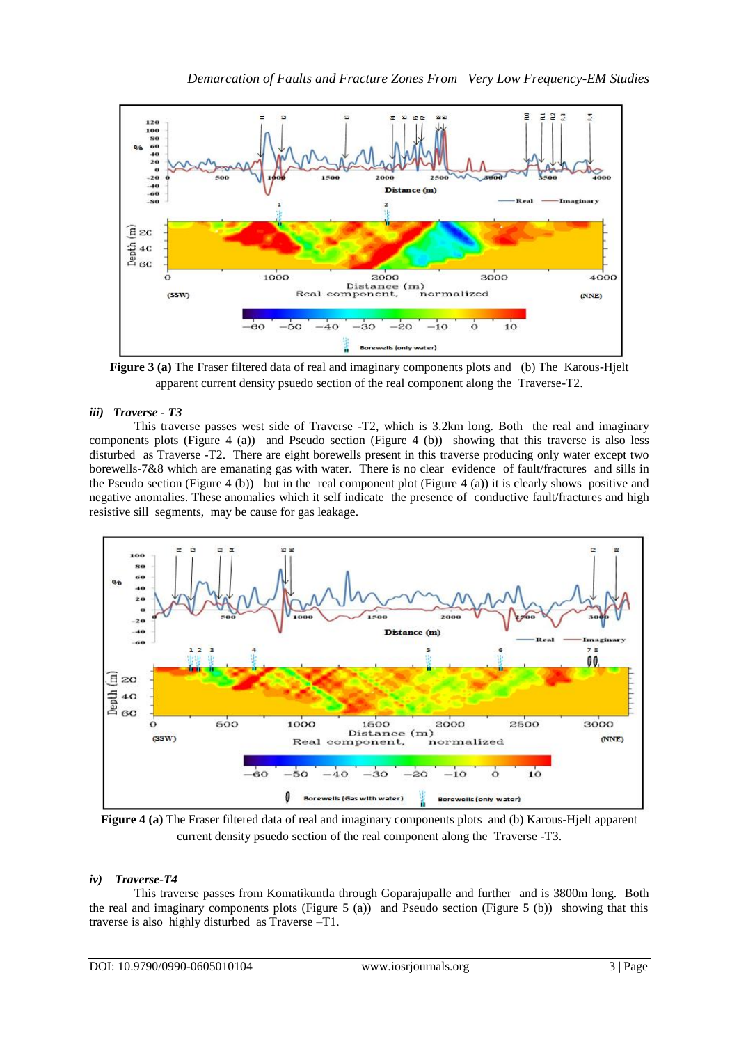

**Figure 3 (a)** The Fraser filtered data of real and imaginary components plots and (b) The Karous-Hjelt apparent current density psuedo section of the real component along the Traverse-T2.

# *iii) Traverse - T3*

This traverse passes west side of Traverse -T2, which is 3.2km long. Both the real and imaginary components plots (Figure 4 (a)) and Pseudo section (Figure 4 (b)) showing that this traverse is also less disturbed as Traverse -T2. There are eight borewells present in this traverse producing only water except two borewells-7&8 which are emanating gas with water. There is no clear evidence of fault/fractures and sills in the Pseudo section (Figure 4 (b)) but in the real component plot (Figure 4 (a)) it is clearly shows positive and negative anomalies. These anomalies which it self indicate the presence of conductive fault/fractures and high resistive sill segments, may be cause for gas leakage.



**Figure 4 (a)** The Fraser filtered data of real and imaginary components plots and (b) Karous-Hjelt apparent current density psuedo section of the real component along the Traverse -T3.

## *iv) Traverse-T4*

This traverse passes from Komatikuntla through Goparajupalle and further and is 3800m long. Both the real and imaginary components plots (Figure 5 (a)) and Pseudo section (Figure 5 (b)) showing that this traverse is also highly disturbed as Traverse –T1.